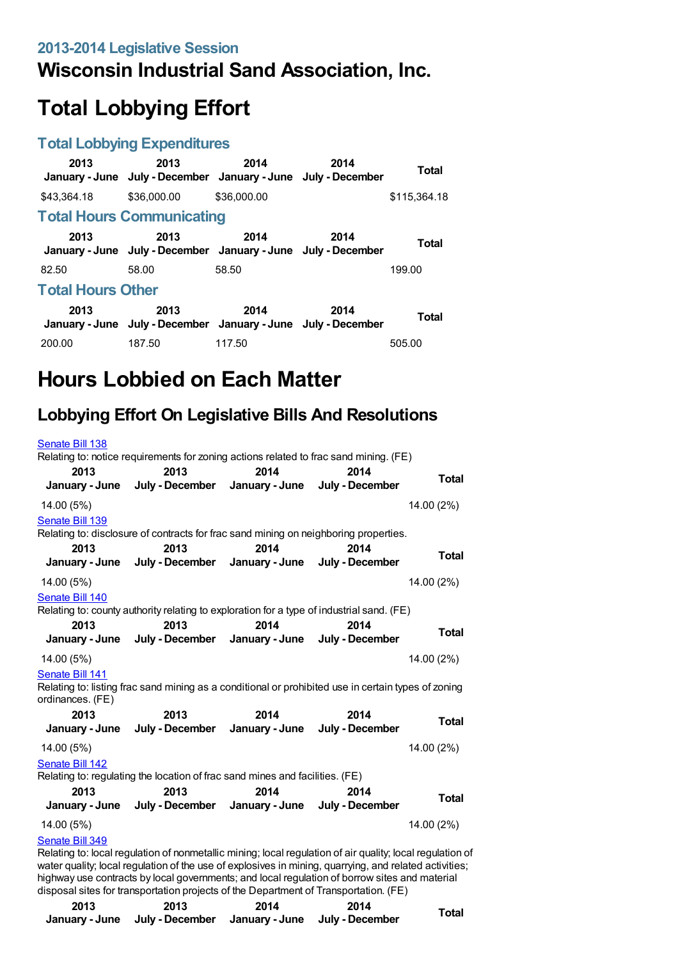### **Wisconsin Industrial Sand Association, Inc.**

# **Total Lobbying Effort**

#### **Total Lobbying Expenditures**

| 2013                     | 2013<br>January - June July - December January - June July - December | 2014        | 2014 | <b>Total</b> |  |
|--------------------------|-----------------------------------------------------------------------|-------------|------|--------------|--|
| \$43,364.18              | \$36,000.00                                                           | \$36,000.00 |      | \$115,364.18 |  |
|                          | <b>Total Hours Communicating</b>                                      |             |      |              |  |
| 2013                     | 2013<br>January - June July - December January - June July - December | 2014        | 2014 | <b>Total</b> |  |
| 82.50                    | 58.00                                                                 | 58.50       |      | 199.00       |  |
| <b>Total Hours Other</b> |                                                                       |             |      |              |  |
| 2013                     | 2013<br>January - June July - December January - June July - December | 2014        | 2014 | <b>Total</b> |  |
| 200.00                   | 187.50                                                                | 117.50      |      | 505.00       |  |

## **Hours Lobbied on Each Matter**

### **Lobbying Effort On Legislative Bills And Resolutions**

| Senate Bill 138  |                                                                                                                                                                |      |                                                                                                          |              |
|------------------|----------------------------------------------------------------------------------------------------------------------------------------------------------------|------|----------------------------------------------------------------------------------------------------------|--------------|
| 2013             | Relating to: notice requirements for zoning actions related to frac sand mining. (FE)<br>2013<br>January - June July - December January - June July - December | 2014 | 2014                                                                                                     | <b>Total</b> |
| 14.00 (5%)       |                                                                                                                                                                |      |                                                                                                          | 14.00 (2%)   |
| Senate Bill 139  |                                                                                                                                                                |      |                                                                                                          |              |
|                  | Relating to: disclosure of contracts for frac sand mining on neighboring properties.                                                                           |      |                                                                                                          |              |
| 2013             | 2013<br>January - June July - December January - June July - December                                                                                          | 2014 | 2014                                                                                                     | <b>Total</b> |
| 14.00 (5%)       |                                                                                                                                                                |      |                                                                                                          | 14.00 (2%)   |
| Senate Bill 140  |                                                                                                                                                                |      |                                                                                                          |              |
|                  | Relating to: county authority relating to exploration for a type of industrial sand. (FE)                                                                      |      |                                                                                                          |              |
| 2013             | 2013                                                                                                                                                           | 2014 | 2014                                                                                                     | Total        |
|                  | January - June July - December January - June July - December                                                                                                  |      |                                                                                                          |              |
| 14.00 (5%)       |                                                                                                                                                                |      |                                                                                                          | 14.00 (2%)   |
| Senate Bill 141  |                                                                                                                                                                |      |                                                                                                          |              |
| ordinances. (FE) | Relating to: listing frac sand mining as a conditional or prohibited use in certain types of zoning                                                            |      |                                                                                                          |              |
| 2013             | 2013                                                                                                                                                           | 2014 | 2014                                                                                                     |              |
|                  | January - June July - December January - June July - December                                                                                                  |      |                                                                                                          | <b>Total</b> |
| 14.00 (5%)       |                                                                                                                                                                |      |                                                                                                          | 14.00 (2%)   |
| Senate Bill 142  |                                                                                                                                                                |      |                                                                                                          |              |
|                  | Relating to: regulating the location of frac sand mines and facilities. (FE)                                                                                   |      |                                                                                                          |              |
| 2013             | 2013                                                                                                                                                           | 2014 | 2014                                                                                                     | Total        |
|                  | January - June July - December January - June July - December                                                                                                  |      |                                                                                                          |              |
| 14.00 (5%)       |                                                                                                                                                                |      |                                                                                                          | 14.00 (2%)   |
| Senate Bill 349  |                                                                                                                                                                |      | Poloting to: local requistion of popmetallic mining; local requistion of air quality; local requistion o |              |

Relating to: local regulation of nonmetallic mining; local regulation of air quality; local regulation of water quality; local regulation of the use of explosives in mining, quarrying, and related activities; highway use contracts by local governments; and local regulation of borrow sites and material disposal sites for transportation projects of the Department of Transportation. (FE)

| 2013 | 2013                                                          | 2014 | 2014 |       |
|------|---------------------------------------------------------------|------|------|-------|
|      | January - June July - December January - June July - December |      |      | Total |